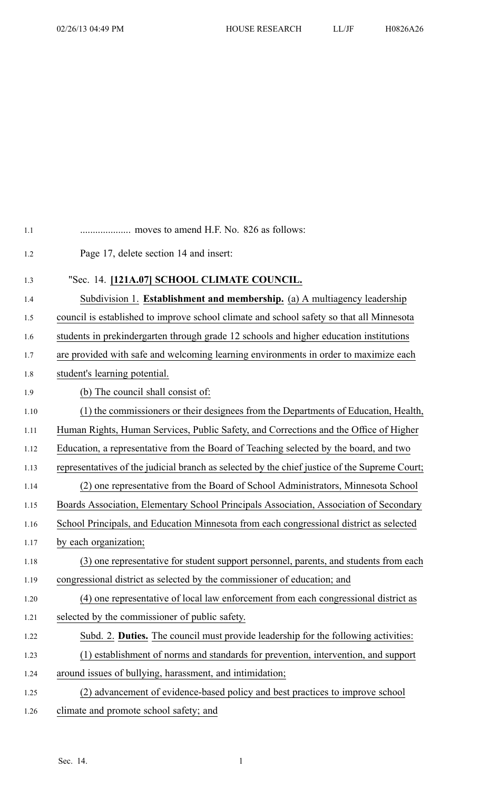| 1.1  |                                                                                               |
|------|-----------------------------------------------------------------------------------------------|
| 1.2  | Page 17, delete section 14 and insert:                                                        |
| 1.3  | "Sec. 14. [121A.07] SCHOOL CLIMATE COUNCIL.                                                   |
| 1.4  | Subdivision 1. Establishment and membership. (a) A multiagency leadership                     |
| 1.5  | council is established to improve school climate and school safety so that all Minnesota      |
| 1.6  | students in prekindergarten through grade 12 schools and higher education institutions        |
| 1.7  | are provided with safe and welcoming learning environments in order to maximize each          |
| 1.8  | student's learning potential.                                                                 |
| 1.9  | (b) The council shall consist of:                                                             |
| 1.10 | (1) the commissioners or their designees from the Departments of Education, Health,           |
| 1.11 | Human Rights, Human Services, Public Safety, and Corrections and the Office of Higher         |
| 1.12 | Education, a representative from the Board of Teaching selected by the board, and two         |
| 1.13 | representatives of the judicial branch as selected by the chief justice of the Supreme Court; |
| 1.14 | (2) one representative from the Board of School Administrators, Minnesota School              |
| 1.15 | Boards Association, Elementary School Principals Association, Association of Secondary        |
| 1.16 | School Principals, and Education Minnesota from each congressional district as selected       |
| 1.17 | by each organization;                                                                         |
| 1.18 | (3) one representative for student support personnel, parents, and students from each         |
| 1.19 | congressional district as selected by the commissioner of education; and                      |
| 1.20 | (4) one representative of local law enforcement from each congressional district as           |
| 1.21 | selected by the commissioner of public safety.                                                |
| 1.22 | Subd. 2. Duties. The council must provide leadership for the following activities:            |
| 1.23 | (1) establishment of norms and standards for prevention, intervention, and support            |
| 1.24 | around issues of bullying, harassment, and intimidation;                                      |
| 1.25 | (2) advancement of evidence-based policy and best practices to improve school                 |
| 1.26 | climate and promote school safety; and                                                        |
|      |                                                                                               |